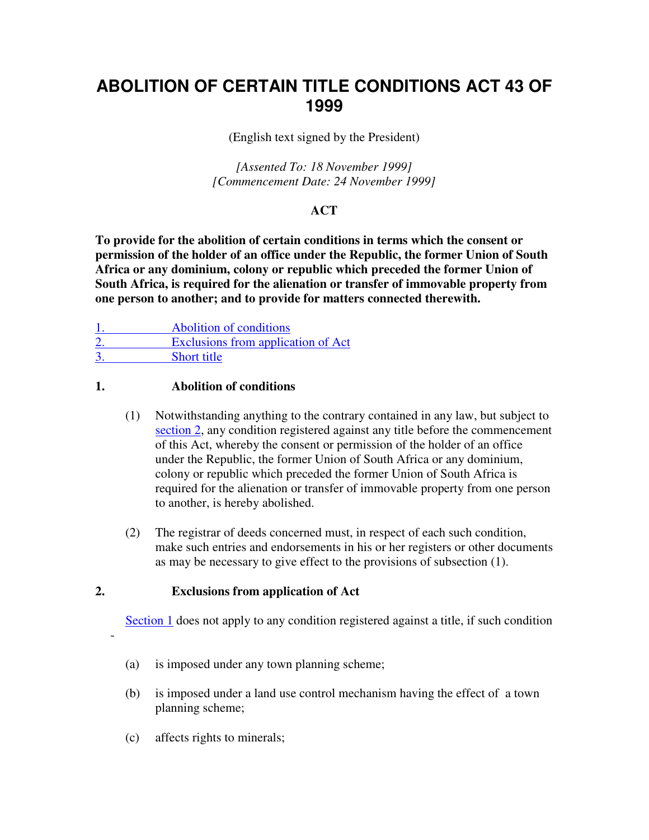# **ABOLITION OF CERTAIN TITLE CONDITIONS ACT 43 OF 1999**

(English text signed by the President)

*[Assented To: 18 November 1999] [Commencement Date: 24 November 1999]* 

## **ACT**

**To provide for the abolition of certain conditions in terms which the consent or permission of the holder of an office under the Republic, the former Union of South Africa or any dominium, colony or republic which preceded the former Union of South Africa, is required for the alienation or transfer of immovable property from one person to another; and to provide for matters connected therewith.** 

| Abolition of conditions            |
|------------------------------------|
| Exclusions from application of Act |
| <b>Short title</b>                 |

#### **1. Abolition of conditions**

- (1) Notwithstanding anything to the contrary contained in any law, but subject to section 2, any condition registered against any title before the commencement of this Act, whereby the consent or permission of the holder of an office under the Republic, the former Union of South Africa or any dominium, colony or republic which preceded the former Union of South Africa is required for the alienation or transfer of immovable property from one person to another, is hereby abolished.
- (2) The registrar of deeds concerned must, in respect of each such condition, make such entries and endorsements in his or her registers or other documents as may be necessary to give effect to the provisions of subsection (1).

### **2. Exclusions from application of Act**

Section 1 does not apply to any condition registered against a title, if such condition

- (a) is imposed under any town planning scheme;
- (b) is imposed under a land use control mechanism having the effect of a town planning scheme;
- (c) affects rights to minerals;

-